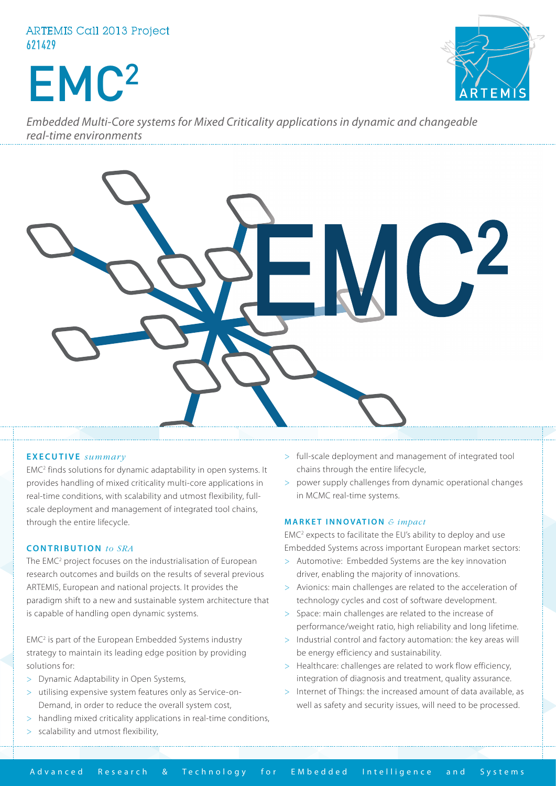# ARTEMIS Call 2013 Project 621429

# EMC2



*Embedded Multi-Core systems for Mixed Criticality applications in dynamic and changeable real-time environments*



### **EXECUTIVE** *summary*

EMC<sup>2</sup> finds solutions for dynamic adaptability in open systems. It provides handling of mixed criticality multi-core applications in real-time conditions, with scalability and utmost flexibility, fullscale deployment and management of integrated tool chains, through the entire lifecycle.

#### **C O NTRIBUTION** *to SRA*

The EMC<sup>2</sup> project focuses on the industrialisation of European research outcomes and builds on the results of several previous ARTEMIS, European and national projects. It provides the paradigm shift to a new and sustainable system architecture that is capable of handling open dynamic systems.

EMC<sup>2</sup> is part of the European Embedded Systems industry strategy to maintain its leading edge position by providing solutions for:

- > Dynamic Adaptability in Open Systems,
- > utilising expensive system features only as Service-on-Demand, in order to reduce the overall system cost,
- > handling mixed criticality applications in real-time conditions,
- scalability and utmost flexibility,
- > full-scale deployment and management of integrated tool chains through the entire lifecycle,
- > power supply challenges from dynamic operational changes in MCMC real-time systems.

## **MARKET INNOVATION** *& impact*

EMC2 expects to facilitate the EU's ability to deploy and use Embedded Systems across important European market sectors:

- > Automotive: Embedded Systems are the key innovation driver, enabling the majority of innovations.
- > Avionics: main challenges are related to the acceleration of technology cycles and cost of software development.
- > Space: main challenges are related to the increase of performance/weight ratio, high reliability and long lifetime.
- > Industrial control and factory automation: the key areas will be energy efficiency and sustainability.
- > Healthcare: challenges are related to work flow efficiency, integration of diagnosis and treatment, quality assurance.
- > Internet of Things: the increased amount of data available, as well as safety and security issues, will need to be processed.